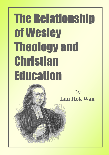# The Relationship of Wesley Theology and **Christian Education**

 $\tilde{0}$ 

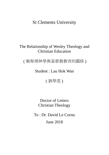# St Clements University

# The Relationship of Wesley Theology and Christian Education

( 衛斯理神學與基督教教育的關係 )

Student : Lau Hok Wan

( 劉學雲 )

Doctor of Letters Christian Theology

To : Dr. David Le Cornu June 2018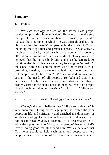### **Summary**

#### 1. Preface

Wesley's theology focuses on the lower class gospel service, emphasizing human "value". He wanted to make sure that people can get peace in their life. Wesley profoundly realized the conditions in which life was difficult at that time. He cared for the "needs" of people in the spirit of Christ, including their spiritual and practical needs. He was actively involved in charity work such as prison visits, poverty alleviation programs and various kinds of charity work. He believed that the human body and soul must be satisfied. At that time, the church leaders were only focusing on "salvation", the scope of the soul, and the activities of the church, such as preaching, meeting, or evangelism. It did not understand that "all people are to be treated". Wesley wanted to take into account "the needs of all people". He believed that it is necessary not only to care for souls and salvation, but also to properly care for the actual needs in people's lives. The gospel should include "double blessings," which is "full-person service".

#### 2. The concept of Wesley Theology's "full-person service"

Wesley's theology believes that "full person salvation" is very important. During his college years, he treated the poor people in life and spirituality and enriched the dimension of Wesley's theology. He built schools and built residences to help families in need. Wesley's teaching of "a peacemaker" is to seize the opportunity to "do good to people" because God's love is doing good for all around him. Wesley believed that God helps people to help each other and people can help people in need. The action of Christians in helping others is to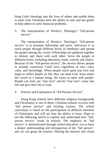bring God's blessings into the lives of others and enable them to meet God. Christians have the ability to earn and use goods to help others to solve financial problems.

3. The interpretation of Wesley's Theology's "full-person service"

The interpretation of Wesley's Theology's "full-person service" is to promote fellowship and serve. Advocacy is to reach people through different levels of obedience and spread the gospel among the crowd. Fellowships are gathered together to interact and share with each other. Serve the people at different levels, including education, loans, schools and clinics. Because of the "full-person service", the service allows people to actually experience God's love, regardless of race, class, color, and knowledge. When people touch upon true love and begin to reflect deeply on life, they can meet God. Jesus enters the crowd as a human being. He wants to meet with people. People can truly see "true love" and let "true love" come into life and give their life to God.

#### 4. Practice and Exploration of "All Persons Service"

Hong Kong schools have different religious backgrounds and Christianity is one of them. Christian schools co-exist with "full person service" and existing courses. The school curriculum is based on the participation of different elements of Christianity and will not lose the ability to learn. Hope to use the following article to explore and understand how "fullperson service" works in schools. The emphasis on "full service" is demonstrated through school education. Let us have a deeper understanding and introspection of the "full person", and we can grasp the essence. Sharing the mission and vision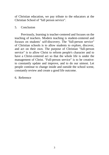of Christian education, we pay tribute to the educators at the Christian School of "full person service".

#### 5. Conclusion

Previously, learning is teacher-centered and focuses on the teaching of teachers. Modern teaching is student-centered and focuses on students' self-discovery. The "full-person service" of Christian schools is to allow students to explore, discover, and act on their own. The purpose of Christian "full-person service" is to allow Christ to reform people's character and to have a Christ-centered act so that the whole life is under the management of Christ. "Full-person service" is to be creative: to constantly update and improve, and to do our utmost. Let people continue to change inside and outside the school scene, constantly review and create a good life outcome.

6. Reference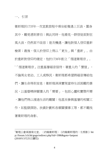## 一、 引言

 $\overline{a}$ 

衛斯理於1735年一次宣教旅程中乘坐船隻遇上巨浪,置身 其中,難免感到害怕;與此同時,他看見一群信徒面對狂 風大浪,仍然面不改容;是次機遇,讓他對個人信仰重新 檢索;最後,個人於信仰上得以「更生」與「重新」。由 於重新對信仰的確定,他於1738年創立「循道衛理宗」。 <sup>1</sup>「循道衛理宗」注重基層福音服待,著重人的「價值」, 不論男女老幼、工人或移民,衛斯理都希望將福音傳給他 們,讓生命得到安息;衛斯理深深實現當時生活困難的景 況,以基督精神關懷人的「需要」,包括心靈和實際所需 ,讓他們得以渡過生活的難關;他甚至參與基層的相關工 作,如監獄探訪、扶貧計劃和各類關懷事工等,都不難找 著衛斯理的身影。

<sup>1</sup>衛理公會高雄榮光堂。〈約翰衛斯理〉《約翰衛斯理的一生剪影》htt p://forum.1ch.hk/gogo/redirect.php?tid=1986&goto=lastpost (2018年3月25日讀取)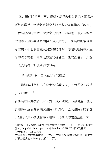<sup>2</sup>主導人類存活世界中兩大範疇,就是肉體與靈魂,兩者均 要得著滿足。當時教會對全人服待觀念多是指著「救恩」 ,就是靈魂的範疇,而教會的活動,如講道、相交或福音 活動等,以狹義理解闡釋「全人服待」;衛斯理則兼備兩 者需要,不但關愛靈魂與救恩的聯繫,亦確切地關顧人生 命中實際需要;衛斯理傳講的福音是「雙重祝福」,即對 「全人服待」觀念的神學啟蒙。

二、 衛斯理神學「全人服待」的觀念

衛斯理神學認為「全世皆為其牧區」,而「全人救贖 」尤為重要。<sup>3</sup>

在衛斯理成為牧者以前,對「全人救贖」非常著重,就是 對靈性和生活的關懷與服待,即履行「全人服待」的觀念 。他於牛津大學進修時,組織不同類型的屬靈活動,如「

 $\overline{a}$ <sup>2</sup>楊鍾祿。〈約翰衛斯理對教會與社會的貢獻〉。《十八世紀約翰衛斯 理》。http://vicchew.tripod.com/johnw.htm (2018年3月25日讀取) <sup>3</sup>林崇智著。《愛與恩典— 循道衛理宗的故事與信息》。香港:香港基督教循道衛理聯合教會文 字事工委員會,2004年。第47 頁。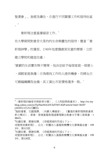聖潔會」、查經及禱告,亦進行不同關懷工作和服待社區  $\frac{4}{\circ}$ 

衛斯理注重基層福音工作。<sup>5</sup>

在大學期間對貧苦大眾的的生命與靈性的服待,豐富「衛 斯理神學」的層面。1740年他意識貧困兒童的需要,立即 建立學校和建造住處;

<sup>6</sup>貧窮的生活實在殊不簡單,他決定給予每個家庭一個便士

,減輕家庭負擔;亦為尋找工作的人提供機會,而婦女亦

可藉編織賺取金錢,其工資比市面價格還多一點。

 $^4$ 〈衛斯理約翰家世與教育分類〉。《人物誌與教會史》。http://tw.my blog.yahoo.com/jw!FpJ9aeWeG0YZdTWF.KhP/article?mid=30297 (2018年3月25日讀取)

- <sup>5</sup>施耐達著。文國偉譯。〈向窮人傳福音〉。《奮進的衛斯理與教會更 新之模式》。香港:香港基督教循道衛理聯合教會文字事工委員會,1 984年。
- <sup>6</sup>杜羅伯著。蔡捷安譯。《吞噬黑暗的烈焰 ( 下 ) 成聖使徒衛斯理》。台北:財團法人基督教橄欖文化事業基金會,199 3年。第123頁。
- 7杜羅伯著。蔡捷安譯。《吞噬黑暗的烈焰 ( 下 ) —

 $\overline{a}$ 

成聖使徒衛斯理》。台北:財團法人基督教橄欖文化事業基金會,199 3年。第128頁。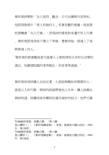衛斯理神學對「全人服待」觀念,亦可由講章內容得知。 他認爲聖經中「使人和睦的人」有著宏觀的意義,就是要 把握機會「向人行善」,因為神的愛是對身邊所有人行善 。衛斯理認為信徒不應立下界線,應善待每一個遇上了或 將要遇上的人。

<sup>8</sup>衛斯理的教會觀是當代基層人士都能得到生命和生活需的 滿足。他冀望飢餓的者得飽足,赤身者得溫暖。

衛斯理相信神讓人互助互愛,人是能夠幫助有需要的人, 就是以人的行動,將神的祝福帶進他人生命,讓人能藉此 與神相遇。神讓信徒有賺取和運用貨財的能力,他們可藉

<sup>8</sup>約翰衛斯理著。胡簪云譯。〈第十講

 $\overline{a}$ 

登山寶訓三〉。《衛斯理講道集》。香港:基督教文藝出版社,1965 年。第138頁。

<sup>9</sup>約翰衛斯理著。胡簪云譯。〈第十講

登山寶訓三〉。《衛斯理講道集》。香港:基督教文藝出版社,1965 年。第138頁。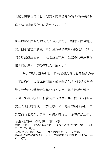此幫助需要者解決當前問題,因為敬畏神的人必能善理財 務,讓貨財能履行神在當代的心意。10

衛斯理以不同的行動完成「全人服待」的觀念,因著神是 愛。他不惜籌集資金,以無息貸款形式幫助貧窮人,讓人 們得以渡過生活關口,減輕生活重壓;設立不同醫療機構 和「探訪病人」辦公室爲人們解困。11

「全人服待」觀念影響「香港基督教循道衛理聯合教會 」服待概念。人類本是同源,就應無分你我,以愛彼此接 待;教會的牧養職責就是要以不同事工讓人們得到醫治、 支援、引導及復和;社會關懷行動就是讓人們見証神的真 **愛在人世間的彰顯;面對社會不公,應努力參與革新。由** 於信徒有著先知、祭司、和僕人的身份,必須伸張正義、  $\overline{a}$ <sup>10</sup>約翰衛斯理著。胡簪云譯。〈第十三講

錢財的運用〉。《衛斯理講道集》。香港:基督教文藝出版社,1965 年。第180-182頁。 <sup>11</sup>韓喬治著。楊東川譯。〈服待人們的需要〉。《擴展能力—

衛斯理精神的教會增長》。台北:中華基督教衛理公會,1987年。第1 20-121頁。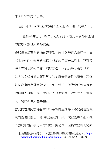使人和睦及服待人群。<sup>12</sup>

 $\overline{a}$ 

由此可見,衛斯理神學對「全人服待」觀念的整全性。

聖經中講述的「福音」是好消息,就是因著耶穌基督 的救恩,讓世人罪得赦免。

路加福音是在四卷福音書中唯一將耶穌基督人生歷程:由 出生至死亡作詳細的記錄;路加福音書是以周全、精確及 按次序將其所知所聞。耶穌基督「道成肉身」來到世界, 以人的身份接觸人類世界;路加福音是普世的福音,耶稣 基督沒有因著社會階層、性別、地位、種族或任何原因而 拒絕與人接觸;盡己所能為人分擔解憂,對外邦人、貧窮 人、賤民和罪人甚為關注。

當我們看見路加福音中耶穌基督的生活時,不難發現對靈 魂的救贖的關切,關切以致死於十架,成就救恩;對人類 心靈和現實的需要同表關切,就如拿因城的寡婦需要和給

<sup>12 〈</sup>社會服務使命宣言〉。《香港基督教循道衛理聯合教會》。[http://](http://www.methodist.org.hk/h/social/mantra/) [www.methodist.org.hk/h/social/mantra/](http://www.methodist.org.hk/h/social/mantra/) (2018年3月25日讀取)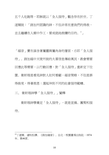五千人吃飽等,耶穌就以「全人服待」觀念存在於世。丁 道爾說:「路加所認識的神,不但非常在意我們的得救, 並且繼續在人類中作工,要成就祂救贖的目的。13」

「福音」實在涵含著屬靈與屬肉身的層面,亦即「全人服 待」。路加福中天使所說的大喜信息傳給萬民,教會需要 回應此等需要,以行動回應,對「全人服待」重新定下位 置。衛斯理是看見神對人如何看顧,福音策略,不但是罪 得赦免,得著救恩;還延伸到不同的社會服待範疇。

三、 衛斯理神學「全人服待」」闡釋

 $\overline{a}$ 

衛斯理神學奠定「全人服待」,就是宣揚、團契和服 待。

<sup>13</sup>丁道爾。潘秋松譯。《路加福音》。台北:校園書房出版社,1974 年。第46頁。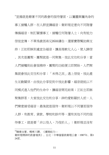<sup>14</sup>宣揚就是藉著不同的教會的服待層面,以屬靈與屬肉身的 事工接觸人群,在人群宣講福音;衛斯理定意向不同階層 傳揚福音,制訂關懷事工,接觸任何階層人士;向有能力 信徒宣傳,不單為貧困弟兄姊妹禱告,還要實際幫助與支 持;正如耶穌到處宣告福音,讓真理軟化人心,使人歸信 。其次是團契,團契就是一同聚集,彼此交往和分享;當 人們接觸到社會服務時,團契的功能便立即開始,人們聚 集就會彼此交往和分享;「未得之民」遇上信徒,彼此產 生互動關係,由彼此分享從到中彼此影響,福音就能以不 同模式進入他們的生命中,讓福音開花結果;正如主耶穌 聚集群眾,大家彼此交往和分享,神的愛彰顯於人前,人 們樂意接受福音;最後就是服侍,衛斯理以不同層面服侍 人群,有教育、貸款、學校和診所等,還有其他不同的服 侍事工,就是要「非以役人,乃役於人」;衛斯理並沒有

 $\overline{a}$ 

<sup>14</sup>韓喬治著。楊東川譯。《擴展能力— 衛斯理精神的教會增長》。台北:中華基督教衛理公會,1987年。第1 24頁。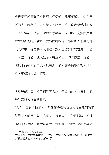改變早期成為聖公會牧師的好信仰,他願意幫助一切有需 要的人;因著「全人服待」,服侍中讓人實際感受神的愛 ,不分種類、階層、膚色和學識等;人們觸碰真愛而展開 對生命深切的反省時,就能與神相遇;耶穌以人子身份進 入人群中,就是要與人相遇,讓人切切實實的看見「直愛 」,讓「直愛」淮入牛命,將牛命交與神;亦讓「直愛」 成為生命動力的泉源,為著那不能朽壞的指望而努力地生 活, 语望將來 生 主 相見

衛斯理說出自己希望在貧苦大眾中傳揚福音,而讓他人處 身於富裕人家宣講救恩。

<sup>15</sup>曾有一間教會轄下的一間社福機構的負責人分享他們的服 待模式,就是主動「出擊」:接觸人群;他們以兩大範疇 作為工作重點,前者是每逢周六都到一個戶外定點舉辦遊

<sup>15</sup>林崇智著。《愛與恩典— 循道衛理宗的故事與信息》。香港:香港基督教循道衛理聯合教會文 字事工委員會,2004年。第181頁。

 $\overline{a}$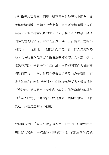戲和聖經故事分享,招聚一班不同年齡階層的小朋友;後 者是危機輔導,當知道社會上有任何需要危機輔導介入的 事情時,他們都會挺身而出,立即接觸這些人與事,讓他 們得到適切的滿足。前者的招聚,讓一班在街上溜達的小 朋友有一「落腳地」,他們久而久之,對工作人員開始熟 悉,同時明白聖經內容;後者危機輔導的介入,讓不少人 能夠在無助中得到援手;這兩班人同時詢問工作人員的資 源從何而來,工作人員只介紹機構名稱及由教會資助,有 些人被無私的奉獻所吸引,生命漸漸進行反省,最後為數 不少能成功進入教會,將生命交與神。他們與衛斯理神學 的「全人服待」不謀而合,就是宣傳、團契和服侍;他們 更進一步就是主動而不被動。

衛斯理神學的「全人服待」是本色化的事奉,針對當時英 國社會的需要,果效甚佳,但時移世逆,我們必須創建現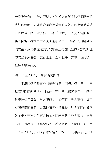今香港社會的「全人服待」,對於方向與手法必須配合時 代加以調節,才能讓資源發揮最大的果效。以上機構成功 之處就是主動,對於福音並不「硬銷」,以愛人為前題, 讓人自省,尋找生命本質;衛斯理留下的美好的足跡讓我 們依循,我們要在這美好的根基上再加以發揮,讓衛斯理 的成就不致白費;教育正是「全人服待」其中一個指標, 就是「雙重祝福」。

四、 「全人服待」的實踐與探討

本港的學校各有不同宗教背景,如儒、道、佛、天主 教或伊欺蘭教各佔不同席位,基督教也在其中之一;基督 教學校如何實踐「全人服待」,如何將「全人服待」與現 存課程融匯貫通,以學校課程作為基礎,加入不同的基督 教元素,要不失學習之精華,同時又將「全人服待」實踐 出來,可說是一件藝術作品。希望藉著以下探討,從中明 白「全人服待」如何在學校運作,對「全人服待」有更深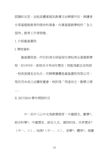認識和反思,並能具體掌握其教導方法精要所在,與讀者 分享基督教教育的使命和異象,向著基督教學校的「全人 服待」教育工作者致敬。

1. 介紹滙基書院

I. 學校資料

滙基書院是一所位於深水埗區按位津貼男女基督教學 校,於1974年,創校至今有40年歷史;校監為劉志良牧師 ,校長是陳友志先生,而辦學團體是滙基書院有限公司, 現在仍未成立法團校董會,校訓為「明道尙主,勤壆立德 」。

II. 2017/2018 學年開設科目

中一至中三以中文為教學語言:中國語文、數學\*、 綜合科學\*、中國歷史、綜合人文、資訊科技、世界歷史\* (中一、三)、地理\*(中一、三)、音樂\*、體育\*、視覺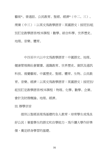藝術\*、普通話、公民教育、聖經、經濟\*(中二、三)、 商業(中三);以英文為教學語言;英國語文;按班別/組 別訂定教學語言/校本課程:數學、綜合科學、世界歷史、 地理、音樂、體育。

中四至中六以中文為教學語言:中國語文、地理、 健康管理與社會關懷、通識教育、世界歷史、資訊及通訊 科技、視覺藝術、中國歷史、聖經、體育、生物、公民教 育、音樂、經濟;以英文為教學語言:英國語文;按班別/ 組別訂定教學語言/校本課程: 物理、化學、數學、企業、 會計及財務概論、地理、經濟。

III. 辦學宗旨

提供以聖經真理為基礎的全人教育,培育學生成為良 好公民;著重學生的語文和自學能力,為升讀大學作好準 備,奠定終身學習的基礎。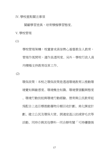IV. 學校重點關注事項

關顧學習差異,培育積極學習態度。

V. 學校管理

(1)

學校管理架構:校董會成員皆熱心基督教全人教育, 管理作風開明,運作具透明度。另外,學校行政人員 均積極支持教育改革工作。

(2)

環保政策:本校之環保政策是透過環境教育以推動環 境覺知與敏感度、環境概念知識、環境價值觀與態度 、環境行動技能與環境行動經驗。德育與公民教育組 為配合上述目標推動廢物分類回收計劃、美化課室計 劃、建立公民及環保大使、調適室溫以助減穿毛衣等 活動。同時亦與其他學科一同合辦有關「可持續發展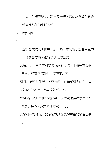」或「生態環境」之講座及參觀,藉此培養學生養成 健康及環保的生活習慣。

VI. 教學規劃

 $\circ$ 

(1)

全校語文政策:由中一級開始,本校為了配合學生的 不同學習需要,推行多樣化的語文

政策。為了營造有利學習英語的環境,本校設有英語

早會、英語導師計劃、英語周、英

語日、英語壁佈板、英語自學中心和英語大使等。本

校亦會鼓勵學生參與校外活動,如:

校際英語話劇節和朗誦節等,以活潑途徑讓學生學習 英語。另外,英文科亦剪裁了一套

跨學科英語課程,配合校本課程及初中生的學習需要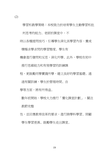學習和教學策略:本校致力於培育學生主動學習和批 判思考的能力。老師於課堂中,不 時以各種提問技巧,引導學生深化其學習內容,養成 積極求學求問的學習態度。學生有 機會進行發問和反思,深化所學。此外,學校在初中 推行思維能力和有效學習的訓練課

程,更鼓勵同學實踐所學,建立良好的學習基礎。通 過有關訓練,學生於管理時間、自

學等方面,將有所得益。

數年前開始,學校大力推行「優化課堂計劃」,關注 教節完整

性,並回應教育改革的要求,進行跨學科學習、照顧 學生學習差異、鼓勵學生走出課堂。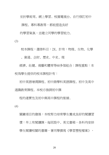至於學術周、網上學習、校園電視台、自行修訂初中

課程、專科專教等,都能塑造良好

的學習氣氣,並建立同學的學習能力。

(3)

校本課程:選修科目:2X。計有:物理、生物、化學

、資通、企財、歷史、中史、理

經濟、社健、視藝和體育等60多個組合;課程重點:本 校為學生提供的校本課程計有:

初中英語增潤課程、初中跨學科英語課程、初中及高中 通識教育課程。本校亦強調初中課

程的連貫性及初中與高中課程的銜接。

(4)

關鍵項目的發展:本校努力培育學生養成良好的閱讀習 慣:早上有閱讀課,每班設中、英文書箱,各科均安排 學生閱讀相關的書籍,著同學撰寫《學習歷程檔案》,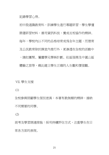記錄學習心得。

初中設通識教育科,訓練學生進行專題研習,學生學懂 篩選研習材料,善用資訊科技,養成互相協作的精神。 每年,學校均以不同的品格培育成為全年主題,而德育 及公民教育除於課堂內推行外,更滲透在全校的活動中 ,諸如團契、屬靈學兄學姊計劃、社區服務及中國山區 體驗之旅等,藉此建立學生正確的人生觀和價值觀。

VII. 學生支援

(1)

全校參與照顧學生個別差異:本著有教無類的精神,接納 不同需要的同學。

(2)

測考及學習調適措施:採用持續評估方式,注重學生在日 常各方面的表現。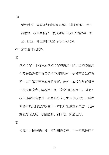(3)

學校設施:實驗及術科教室共8個、電腦室2個、學生 活動室、校園電視台、家長資源中心和圖書館等。禮 堂、飯堂、課室和特別室皆有冷氣設備。 VIII. 家校合作及校風

(1)

家校合作,構通、除了派發學校通 告及鼓勵教師和家長保持密切聯絡外,老師更會進行家 訪,以了解同學及家長的需要。此外,本校每年更舉行 一次家長晚會、兩次半日及一次全日的家長日。同時, 校長亦會撰寫家書,與家長分享心聲及學校近況。為聯 繫各家長及促進家校合作,本校特別成立家長會,其活 動包括家長班、敬師運動、親子營、興趣班等。

(2)

校風:本校校風純樸,師生關係良好。中一至三推行「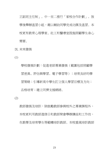正副班主任制」。中一至二推行「家校合作計劃」、放 學後舉辦溫習小組,藉以輔助同學完成功課及溫習。本 校更有教育心理學家、社工和醫療室設施照顧學生身心 需要。

IX. 未來發展

(1)

學校發展計劃:促進老師專業發展(範圍包括照顧學 習差異、評估與學習、電子學習等);培育良好的學 習策略;引導新高中學生訂立個人學習目標及方向; 品格培育;建立同儕支援網絡。

(2)

教師發展及培訓:除鼓勵教師參與校外之專業課程外, 本校更利用教師進修日和教師聚會舉辦講座和工作坊, 在教學及培育學生等範疇培訓教師。本校重視培訓教師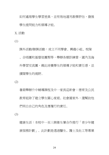如何處理學生學習差異,並有效地運用教學評估,發展 學生提問能力和領導才能。

X. 活動

(1)

課外活動/聯課活動:成立不同學會、興趣小組、校隊 、合唱團和基督徒團契等,舉辦各類訓練營,國內及海 外學習交流團,藉此培養學生的領導才能和責任感,並 擴闊學生的視野。

(2)

暑期舉辦升中輔導課程及中一家長迎新會:德育及公民 教育組除了建立閣小家庭、社會國家外,還幫助他 們明白自己的角色及應履行的責任。

(3)

健康生活:本校中一至三與衛生署合作推行「青少年健 康服務計劃」。此計劃是透過醫生、護士及社工等專業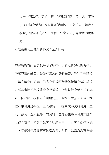人士一同進行。透過「班主任課堂活動」及「義工服務 」提升初中學習的五個首要價值觀。面對「人生階段的 改變」加強對「交友、情緒、社會文化」等衝擊的適應 力。

2. 滙基書院互聯網資料與「全人服待」

基督教教育的異象就是要了解學生、建立良好的教與學、 培養興奮的學習、營造有意義的團體學習、設計完善課程 、建立健全的組織、提高教師教學職能與持續教育訓練等 。滙基書院於學校簡介中聲稱為一所基督教中學,校監亦 是一位牧師,校訓是「明道尚主,勤學立德」,從以上種 種跡象可見應存在「全人服待」,從中文字資料可見,並 沒有涉及「全人服待」的資料,當細心觀察時可見其蜘絲 馬跡;首先,校訓中先有「明道尚主」,再有「勤學立德 」,就是將宗教教育與知識教授比對時,以宗教教育為優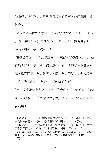先處理;以色列人對早已推行教育的體制,他們重視宗教 教育;

<sup>16</sup>以基督教為背景的學校,將神置於學校和學習的首位是必 須的,讓神作學校帶領的元帥;像以色列一樣為著信仰作 進備,將來「學以致用」;

<sup>17</sup>在學習方面,以「勤學立德」為主線,學校擺脫了現今教 育的「能力主導」的主線,為學生的人格發展奠下良好根 基,重而回應「全人教育」,即「全人服待」;全人教育

,亦即進入理知、情感和心靈範疇的學習;

 $\overline{a}$ 

<sup>18</sup>學校政策能踏出「全人服待」的步伐,「生命教育」的課 題亦易於推行;「生命教育」就是品德、情感和心靈的教 育範疇;

<sup>16</sup>黃福光著。〈以色列人被擄前後的宗教教育〉。《山邊期刊:兒童 宗教教育再思》,(香港:香港浸信會神學院,2004) ,頁6。 <sup>17</sup>黃福光著。〈以色列人被擄前後的宗教教育〉。《山邊期刊:兒童 宗教教育再思》,(香港:香港浸信會神學院, 2004), 百15。 <sup>18</sup>周國賢、楊國強著。〈生命教育與現代人的人格塑造〉。《山邊期 刊:兒童宗教教育再思》,(香港:香港浸信會神學院,2004) ,頁63。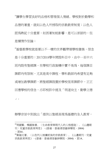<sup>19</sup>讓學生學習良好的品格和管理個人情緒。學校對於勤學和 品德的著重,就如以色人所授取的宗教教育制度;以色人 認為熟記十分重要,如因著知能影響,是可以原諒的,但 是懶惰作別論;

<sup>20</sup>基督教學校就是要以不一樣的世界觀帶領學校發展,信念 是十分重要的;2017/2018學年開設科目中,由中一至中六 班均設有聖經課,在學校行政袈構中實不易為,每個課目 課節均有限制,尤其是高中課程,學科教師均希望有足夠 或增加教學課節,將聖經課設置於學校恆常課節中,正正 回應學校的信念,亦即校訓中提及「明道尚主,勤學立德 」。

辦學宗旨中到說出「提供以聖經真理為基礎的全人教育,

 $\overline{a}$ 

<sup>19</sup>周國賢、楊國強著。〈生命教育與現代人的人格塑造〉。《山邊期 刊:兒童宗教教育再思》,(香港:香港浸信會神學院,2004) ,頁64。

<sup>20</sup>黃福光著。〈以色列人被擄前後的宗教教育〉。《山邊期刊:兒童 宗教教育再思》,(香港:香港浸信會神學院,2004) ,頁14。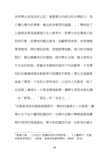培育學生成為良好公民;著重學生的語文和自學能力,為 升讀大學作好準備,奠定終身學習的基礎。」,學校除了 以聖經真理為基礎進行全人教育外,對學生知性發展亦能 取得平衡,從學校的關注事項:照顧學習差異,培育積極 學習態度、探討環保政策、預期教學規劃、推行校本課程 設計、關注關鍵項目的發展、提供學生支援、建立家校合 作及良好校風、草擬未來發展和提供不同活動等,可見學 校於知識傳授與宗教教育中能獲取平衡點;學生在基督教 氣氛下學習,不其然亦習得信仰;以色列人的教育,除了 在言語上傳授外,亦營造環境教學,讓學生習得宗教知識 ,如「節期」、「習俗」和「安息日」;

<sup>21</sup>宗教教育除依靠聖經課節外,學校的場景亦十分重要,讓 學生在不知不覺間認識信仰;在課外活動中舉辦基督徒團 契作為信仰後援基地,學生對認識信仰後,如對信仰產生

 $\overline{\phantom{a}}$ 

<sup>21</sup>黃福光著。〈以色列人被擄前後的宗教教育〉。《山邊期刊:兒童 宗教教育再思》,(香港:香港浸信會神學院,2004),可18。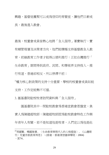興趣,基督徒團契可以成為信仰的育嬰室,讓他們日漸成 長,最後進入教會。

最後,校董會成員皆熱心地將「全人服待」著實執行,實 有賴管理層及決策者方向,他們能積極支持基督教全人教 育,前線教育工作者才能得以順利推行;正如台灣推行「 生命教育」期間得到政府、民間、和學術界支持投入,推 行有道,香港卻相反,所以停滯不前;

 $^{22}$ 權力核心對政策的支持十分重要,學校的校董會成員如能 支持,工作定能勢不可擋。

3. 滙基書院駐校牧者訪問資料與「全人服待」

 $\overline{a}$ 

匯基書院其中一間駐校教會為香港宣教會恩盤堂,自 責人為陳建超牧師;陳建超牧師認為駐校教會特色工作與 年青年人有關,若不是知道他是牧者,人們定以為他是社

<sup>22</sup>周國賢、楊國強著。〈生命教育與現代人的人格塑造〉。《山邊期 刊:兒童宗教教育再思》,(香港:香港浸信會神學院,2004) ,頁74。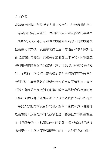會工作者。

陳建超牧師關注學校所有人員,包括每一位教職員和學生 ,希望彼此能建立關係。陳牧師本人是匯基書院的畢業生 ,所以校長及大部份老師跟陳牧師非常熟悉,而陳牧師在 匯基書院畢業後,就在學校擔任五年的福音幹事;由於他 希望跟老師們熟悉,為避免多加老師工作時間,陳牧師選 擇利用午膳時間跟老師聚餐,藉此加深彼此認識和增進友 誼;午聚時,陳牧師主要希望加深對老師的了解及表達對 老師關切;盡量將教會與學校合作的事宜置諸腦後,隻字 不提,有時甚至是老師主動提出教會與學校合作事宜的關 注事項; 陳牧師希望與天師分享基督教教育的看法和拘負 ,尋找大家能夠深度合作的最大空間;陳牧師表示老師都 是基督徒,以聖經為個人教學理念,將屬世知識與基督生 命同時傳授學生;就如以色列的老師一樣,教師避免過度 處罰學生,上乘之度是贏得學生的心,對他們多加忍耐;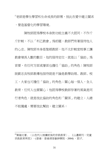$^{23}$ 老師是學生學習和生命成長的師傅,彼此在愛中建立關系 ,營造基督化的學習環境。

陳牧師認為學校本身對功能主義不大認同,不作斤 斤計較,不以「利己教會」為前題,教師們有著服待他人 的心志。陳牧師本身是聖經教師,他不太計較堂校事工讓 教會增長人數的數目,他的服待定位,就是以「協助」為 首要,在任何方面或層面也擔任「協助」的角色;陳牧師 說劉志良牧師教導他服待就是不論是教學助理、教師、校 工,大家也可擔任「協助」的角色;關心每一個人,全人 教育,任何人也要關心;他認為學校教師存著的風氣是同 行者角色,就是彼此協助的角色和「關係」的建立;人總 不能獨處,需要彼此幫助,建立關系;

 $\overline{\phantom{a}}$ 

<sup>23</sup>黃福光著。〈以色列人被擄前後的宗教教育〉。《山邊期刊:兒童 宗教教育再思》,(香港:香港浸信會神學院,2004) ,頁17。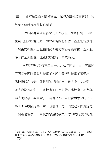<sup>24</sup>學生、教師和職員的關系建構「基督教學校教育原則」的 氣氛,建設良好基督化場景。

陳牧師身兼匯基書院的友誼校董,所以任何一位教 職員向他反映意見時,陳牧師均耐心聆聽,盡量進行跟進 ,然後向相關人士匯報情況;權力核心者能掌握「全人服 待」作全人關注, 並能加以推行, 成效甚大。

匯基書院的堂校事工由一九九七年開始,由於有三間 不同堂會同時參與堂校事工,所以最初堂校事工種類均由 學校指派和分發;陳牧師被委派的事工是「中一栽培班」 及「暑期聖經班」,堂校事工由此開始。學校有一部門稱 為「屬靈事工委員會」,為著平衡不同堂會與學校的合作 事工;陳牧師認為「中一栽培班」是一個機遇,因為這是 一個策略性事工:學校對學生的學業與信仰均能以策略應

 $\overline{a}$ 

<sup>24</sup>周國賢、楊國強著。〈生命教育與現代人的人格塑造〉。《山邊期 刊:兒童宗教教育再思》,(香港:香港浸信會神學院,2004) ,頁73。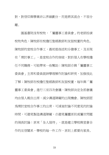對,對信仰與學業非以界線劃分,而是將其混合,不容分 離。

匯基書院沒有校牧,「屬靈事工委員會」的老師扮演 校牧角色,陳牧師在校擔任聖經教師和友誼校董的角色。 陳牧師的堂校合作事工,最初是指派和分發事工,及至現 在「商討事工」,是堂校合作的突破,對於個人在學校擔 任不同職務,可能帶來一些幫助;陳牧師亦與「屬靈事工 委員會」主席和委員就神學理解作討論和研究,加強彼此 了解;陳牧師在校擔任聖經教師和友誼校董,每年與「屬 靈事工委員會」進行三至四次會議,陳牧師決定全部會議 均由個人親自出席,減少溝通障礙的出現機會。陳牧師認 為商討堂校合作事工的出席,可減省討論不同意見的討論 時間,可避免製造溝通障礙,亦避免屬靈原則或屬世問題 的俑長討論;原來「全人服待」,就是建立學校與堂會合 作的互信關系,學校的每一件工作,原則上都要向家長、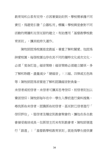教育局和公眾有交待,亦因著資助則例,學校需承擔不同 責任,為避免引發「公器私用」標籤;學校與堂會對不同 活動的商議和互信互諒的建立,有助應用「基督教學校教 育原則」,讓其能持久運作。

陳牧師認為校園是宣教區,著重了解和關愛。他認為 神愛校園,每個校園也存在其不同的獨特文化或次文化, **必須「度身訂造」福音策略;福音策略必須建立關係,多** 了解和聆聽,盡量減少「硬福音」:三福、四律或五色珠 等;陳牧師認為首要是了解和認識福音對負象— 未信者或初信者,未信者可讓其思考信仰,初信者則加以 鞏固信仰;陳牧師每年在中一學生入學前進行資料搜集, 尋找那些未信者,認識那些初信者,甚至對已信者進行「 信仰評估」,堅信者及穩定到教會聚會的,讓他在各自教 會接受栽培成長,但那信主而未有到教會者,陳牧師便進 行「跟進」;「基督教學校教育原則」就是為學生提供廣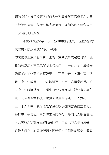闊的空間,接受校園內任何人士對學業與信仰尋覓和完善

,教師和褔音工作者只是多給機會,多加提點,讓各人自 由決定前進的路程。

陳牧師的堂校事工以「協助角色」進行,盡量配合學 校需要,亦以優次排序。陳牧師

的堂校事工類型有周會、團契、課堂教學或栽培班等,陳 牧師認爲這些事工工作要求必須達至「一百分」;最優先 的事工的工作要求必須達至「一百零一分」,這些事工就 是:中一午飯團、中一栽培班及中四至中六福音成長小組 ;中一午飯團就是中一學生可到牧師及同工辦公室共聚午 餐,同時可看電影或玩遊戲;著重關係建立,人數約二十 至三十人;中一栽培班是學生在校參加周會後信主便可以 參加中一栽培班,由於課堂時間舉行,時間及人數皆穩定 ,共有約八次課程跟進初信同學;中四至中六福音成長小 組是「信主」的最後防線,同學們步行到教會聚會,參與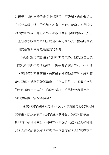以福音性材料滲透的成長小組課程,不強制,自由參與以 「需要基礎」為主的小組,約有六至七人參與;不單陳牧 師的表現優越,課堂內外老師教學表現亦顯出優越,所以 「基督教學校教育原則」就是在各方面都要有優越的表現 ,因為基督教教育是最優質的教育。

陳牧師認為校園福音的口裨非常重要。他認為自己及 同工的課堂教學及活動舉行,就是參與聚會者的「生招牌 」,可以吸引不同同學,若同學能被感動或解動,就對福 音有興趣,進深認識與尋求;「全人服待」就是堂校合作 的重點是將自己本份工作做到最好,讓學校教職員及學生 均能獲益處,能夠榮神益人。

陳牧師與學生關係是亦師亦友,以為師之心教導及關 **愛學生,亦以朋友角度與學生分享福音。陳牧師跟學生一** 起觀看非福音性電影,引發學生共鳴與思維,如人從哪裡 來?人最後結局怎樣?有否另一空間存在?人能否聽到宇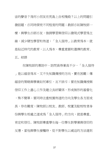宙的聲音?為何小朋友在荒島上自相殘殺?以上的問題引 發話題,亦同時探究不同程度的問題;教師亦如陳牧師一 樣,與學生亦師亦友,強調學習與信仰以發現式學習為主 線,減少硬性學習和佈道;「全人服待」以教育為本,就 是貼近時代的教育,以人為本,尊重意願和選擇的教育。 五、結語

在陳牧師的專訪中,訪問員得著真不少,「全人服待 」是以福音為本,又不失知識傳授的方向,實在困難;傳 福音的策略與學業如何牽引,互不排斥;要在知識傳授與 信仰工作上盡心工作及建立良好關係,形成無形的基督化 ,殊不簡單;要同時注重校園佈道的方向及學生各方面成 長,存在難度;陳牧師以校友、教師、校董及駐校牧者身 份與學生相處之道成為「全人服待」的方向,就是尊重、 肯定和信任。陳牧師尊重學生每一位學生對學業與信仰的 反應,當他與學生接觸時,從不對學生以威迫的方法達到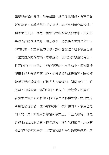學習與佈道的果效;他希望學生會重彼此關係,自己是聖 經科老師,他尊重學生不同意見,亦不會利用分數作為打 壓學生的工具;在每一個福音性的聚會或教學中,首先將 舉辦的活動做到最好,用心教學,然後讓學生對生命和信 仰的反思,尊重學生的意願,讓存著愛種子埋下學生心底 ,讓其自然開花結果,尊重生命。陳牧師對學生的肯定, 肯定他們的不同能力;在他舉辦的不同活動中,陳牧師按 著學生能力分派不同工作,如帶領遊戲或靈修等,陳牧師 希望同學成為領袖,正是「人人皆領袖,個個可作工」的 道理,打破智能主導的局面,進入「生命教育」的層面, 啟發學生運用多元智能;他相信生命影響生命,就是肯定 學生是福音使者,並不單靠教師、牧師和同工,學生也是 同工的一員;亦應用於學習和學業上。「全人服待」就是 營造生命反思的場景,持之以恆,讓學生在校時,永遠有 機會了解信仰和學習。其實陳牧師對學生的三種態度,正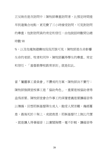正反映在是次訪問中;陳牧師尊重訪問者,比預定時間提 早到達集合地點,更花費了三小時接受訪問,可見對訪問 的尊重;他對訪問員的肯定和信任,由他說話時數間佔總 時數 90

%,以及他毫無避嫌地侃侃而談可見;陳牧師是生命影響 **生命的老師、牧者和同伴,陳牧師贏得學生的尊重、肯定** 和信任,「基督教學校教育原則」就是如此。

當「屬靈事工委員會」不讚成的方案,陳牧師決不實行; 陳牧師強調堂校事工是「協助角色」,重要是被協助者得 益為首要。陳牧師堂會合作事工的深層意義是要讓福音得 以傳揚,回想耶穌基督降生成人,飽受人間苦難,幾經憂 患,最後死於十架上,成就救恩;耶穌基督付上無比代價 ,就是讓人得著福音;以廣闊胸襟,毫不計較,讓福音得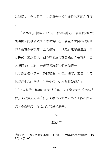以傳揚;「全人服待」就是為合作提供成長的高度和闊度  $\circ$ 

「教與學」中傳統學習是以教師為中心,著重教師敘述 與講授,而發現教學以學生為中心,著重學生自我探究精 神;基督教學校的「全人服待」,就是引起學生注意,自 行探究,加以發現,細心思考及付諸實踐行;基督教「全 人服待」的目的,是讓基督改造我們的品格— 也就是基督化品格,是指習慣、知識、態度、選擇,以及 基督為中心的行為,以致整個生命在基督管理之下。 <sup>25</sup>「全人服待」是勇於創新為「勇」;不斷更新和改進為「

智」;盡責盡力為「仁」;讓學校場景內外人士能不斷求 變,不斷檢討,締造美好的生命成果。

## 完

#### 11285 字

 $\overline{\phantom{a}}$ 

<sup>&</sup>lt;sup>25</sup>高炘著。《基督教教育理論》。(台北:中華福音神學院出版社,19  $77)$ ,百167。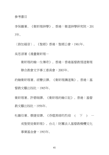#### 參考書目

李保羅著。《衛斯理神學》。香港:衛道神學研究院,201 3年。

〈路加福音〉。《聖經》香港:聖經公會,1961年。

吳思源著《漫畫衛斯理—

衛斯理約翰一生傳奇》。香港:香港基督教循道衛理 聯合教會文字事工委員會,2003年。

約翰衛斯理著。胡簪云譯。《衛斯理講道集》。香港:基 督教文藝出版社,1965年。

衛斯理著。許碧端譯。《衛斯理約翰日記》。香港:基督 教文藝出版社,1956年。

杜羅伯著。蔡捷安譯。《吞噬黑暗的烈焰 ( 下 ) —

成聖使徒衛斯理》。台北:財團法人基督教橄欖文化 事業基金會,1993年。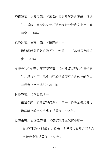施耐達著。文國偉譯。《奮進的衛斯理與教會更新之模式

》。香港:香港基督教循道衛理聯合教會文字事工委 員會,1984年。

韓喬治著。楊東川譯。《擴展能力—

衛斯理精神的教會增長》。台北:中華基督教衛理公 會,1987年。

史提夫哈似伯著。陳康勝等譯。《約翰衛斯理的今日信息

》。馬來西亞:馬來西亞基督教循理公會砂拉越華人

年議會文字事業部,2001年。

林崇智著。《愛與恩典—

循道衛理宗的故事與信息》。香港:香港基督教循道

衛理聯合教會文字事工委員會,2004年。

歐德來著。文國偉等譯。《衛斯理教你怎樣成聖—

衛斯理精神的神學》。香港:世界循道衛理宗華人教 會聯合出版委員會,2003年。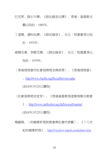巴克萊。陸石中譯。《路加福音注譯》。香港:基督教文 藝出版社,1985年。

丁道爾。潘秋松譯。《路加福音》。台北:校園書房出版 社,1974年。

威爾克著。李靜芝譯。《路加福音》。台北:校園書房出 版社,1979年。

〈香港循理會的社會服務理念與政策〉。《香港循理會》

。<http://www.fmchk.org/SocialServices.php>

(2018年3月25日讀取)

〈社會服務使命宣言〉。《香港基督教循道衛理聯合教會

》。<http://www.methodist.org.hk/h/social/mantra/>

(2018年3月25日讀取)

楊鍾祿。〈約翰衛斯理對教會與社會的貢獻〉。《十八世 紀約翰衛斯理》。<http://vicchew.tripod.com/johnw.htm>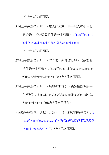(2018年3月25日讀取)

衛理公會高雄榮光堂。〈驚人的成就,是一些人從很卑微 開始的〉《約翰衛斯理的一生剪影》。[http://forum.1c](http://forum.1ch.hk/gogo/redirect.php?tid=1986&goto=lastpost) [h.hk/gogo/redirect.php?tid=1986&goto=lastpost](http://forum.1ch.hk/gogo/redirect.php?tid=1986&goto=lastpost) (2018年3月25日讀取)

衛理公會高雄榮光堂。〈特立獨行約翰衛斯理〉《約翰衛 斯理的一生剪影》。http://forum.1ch.hk/gogo/redirect.ph p?tid=1986&goto=lastpost (2018年3月25日讀取)

衛理公會高雄榮光堂。〈約翰衛斯理〉《約翰衛斯理的一

生剪影》。http://forum.1ch.hk/gogo/redirect.php?tid=198

6&goto=lastpost (2018年3月25日讀取)

〈衛斯理約翰家世與教育分類〉。《人物誌與教會史》。[h](http://tw.myblog.yahoo.com/jw!FpJ9aeWeG0YZdTWF.KhP/article?mid=30297) [ttp://tw.myblog.yahoo.com/jw!FpJ9aeWeG0YZdTWF.KhP](http://tw.myblog.yahoo.com/jw!FpJ9aeWeG0YZdTWF.KhP/article?mid=30297) [/article?mid=30297](http://tw.myblog.yahoo.com/jw!FpJ9aeWeG0YZdTWF.KhP/article?mid=30297) (2018年3月25日讀取)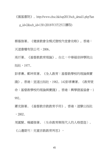《匯基書院》。http://www.chsc.hk/ssp2013/sch\_detail1.php?lan g\_id=2&sch\_id=130 (2018年3月25日讀取)

蔡蔭強著。《健康教會全模式暨校內堂會攻略》。香港: 天道書樓有限公司,2006。

高炘著。《基督教教育理論》。台北:中華福音神學院出 版社,1977。

彭孝廉、鄭坤英著。《全人教育:基督教學校的理論與實 踐》。香港:宣道出版社,1982。142彭孝廉著。《教育使 命:基督教學校的理論與實踐》。香港:興學證基協會,1 992。

蕭克諧著。《基督教宗教教育手冊》。香港:道聲出版社  $, 2002$ .

周國賢、楊國強著。〈生命教育與現代人的人格塑造〉。

《山邊期刊:兒童宗教教育再思》,